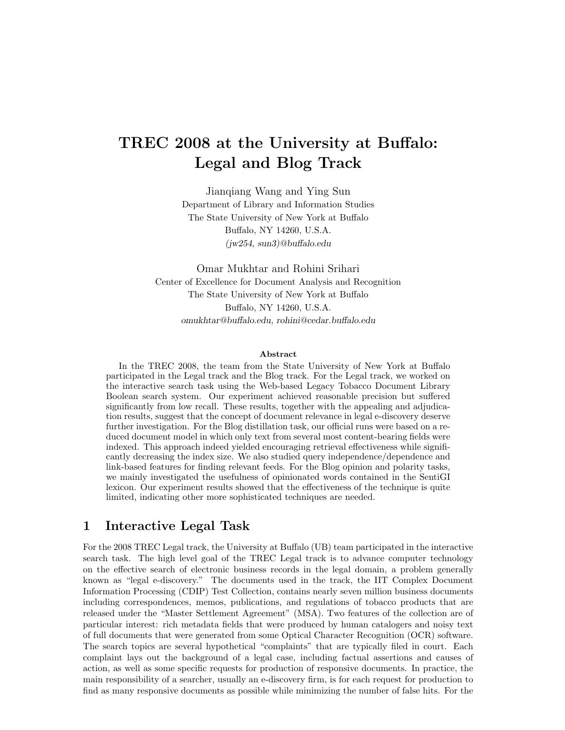# TREC 2008 at the University at Buffalo: Legal and Blog Track

Jianqiang Wang and Ying Sun Department of Library and Information Studies The State University of New York at Buffalo Buffalo, NY 14260, U.S.A. (jw254, sun3)@buffalo.edu

Omar Mukhtar and Rohini Srihari Center of Excellence for Document Analysis and Recognition The State University of New York at Buffalo Buffalo, NY 14260, U.S.A. omukhtar@buffalo.edu, rohini@cedar.buffalo.edu

#### Abstract

In the TREC 2008, the team from the State University of New York at Buffalo participated in the Legal track and the Blog track. For the Legal track, we worked on the interactive search task using the Web-based Legacy Tobacco Document Library Boolean search system. Our experiment achieved reasonable precision but suffered significantly from low recall. These results, together with the appealing and adjudication results, suggest that the concept of document relevance in legal e-discovery deserve further investigation. For the Blog distillation task, our official runs were based on a reduced document model in which only text from several most content-bearing fields were indexed. This approach indeed yielded encouraging retrieval effectiveness while significantly decreasing the index size. We also studied query independence/dependence and link-based features for finding relevant feeds. For the Blog opinion and polarity tasks, we mainly investigated the usefulness of opinionated words contained in the SentiGI lexicon. Our experiment results showed that the effectiveness of the technique is quite limited, indicating other more sophisticated techniques are needed.

## 1 Interactive Legal Task

For the 2008 TREC Legal track, the University at Buffalo (UB) team participated in the interactive search task. The high level goal of the TREC Legal track is to advance computer technology on the effective search of electronic business records in the legal domain, a problem generally known as "legal e-discovery." The documents used in the track, the IIT Complex Document Information Processing (CDIP) Test Collection, contains nearly seven million business documents including correspondences, memos, publications, and regulations of tobacco products that are released under the "Master Settlement Agreement" (MSA). Two features of the collection are of particular interest: rich metadata fields that were produced by human catalogers and noisy text of full documents that were generated from some Optical Character Recognition (OCR) software. The search topics are several hypothetical "complaints" that are typically filed in court. Each complaint lays out the background of a legal case, including factual assertions and causes of action, as well as some specific requests for production of responsive documents. In practice, the main responsibility of a searcher, usually an e-discovery firm, is for each request for production to find as many responsive documents as possible while minimizing the number of false hits. For the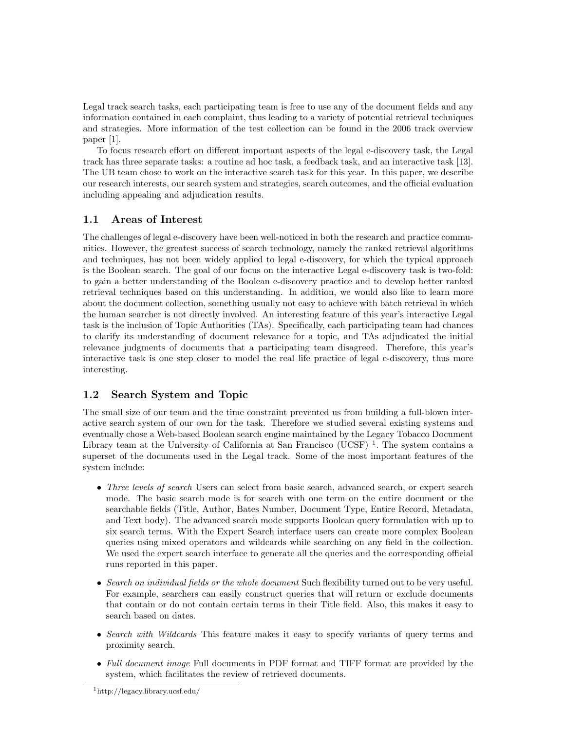Legal track search tasks, each participating team is free to use any of the document fields and any information contained in each complaint, thus leading to a variety of potential retrieval techniques and strategies. More information of the test collection can be found in the 2006 track overview paper [1].

To focus research effort on different important aspects of the legal e-discovery task, the Legal track has three separate tasks: a routine ad hoc task, a feedback task, and an interactive task [13]. The UB team chose to work on the interactive search task for this year. In this paper, we describe our research interests, our search system and strategies, search outcomes, and the official evaluation including appealing and adjudication results.

## 1.1 Areas of Interest

The challenges of legal e-discovery have been well-noticed in both the research and practice communities. However, the greatest success of search technology, namely the ranked retrieval algorithms and techniques, has not been widely applied to legal e-discovery, for which the typical approach is the Boolean search. The goal of our focus on the interactive Legal e-discovery task is two-fold: to gain a better understanding of the Boolean e-discovery practice and to develop better ranked retrieval techniques based on this understanding. In addition, we would also like to learn more about the document collection, something usually not easy to achieve with batch retrieval in which the human searcher is not directly involved. An interesting feature of this year's interactive Legal task is the inclusion of Topic Authorities (TAs). Specifically, each participating team had chances to clarify its understanding of document relevance for a topic, and TAs adjudicated the initial relevance judgments of documents that a participating team disagreed. Therefore, this year's interactive task is one step closer to model the real life practice of legal e-discovery, thus more interesting.

# 1.2 Search System and Topic

The small size of our team and the time constraint prevented us from building a full-blown interactive search system of our own for the task. Therefore we studied several existing systems and eventually chose a Web-based Boolean search engine maintained by the Legacy Tobacco Document Library team at the University of California at San Francisco (UCSF)<sup>1</sup>. The system contains a superset of the documents used in the Legal track. Some of the most important features of the system include:

- Three levels of search Users can select from basic search, advanced search, or expert search mode. The basic search mode is for search with one term on the entire document or the searchable fields (Title, Author, Bates Number, Document Type, Entire Record, Metadata, and Text body). The advanced search mode supports Boolean query formulation with up to six search terms. With the Expert Search interface users can create more complex Boolean queries using mixed operators and wildcards while searching on any field in the collection. We used the expert search interface to generate all the queries and the corresponding official runs reported in this paper.
- Search on individual fields or the whole document Such flexibility turned out to be very useful. For example, searchers can easily construct queries that will return or exclude documents that contain or do not contain certain terms in their Title field. Also, this makes it easy to search based on dates.
- Search with Wildcards This feature makes it easy to specify variants of query terms and proximity search.
- Full document image Full documents in PDF format and TIFF format are provided by the system, which facilitates the review of retrieved documents.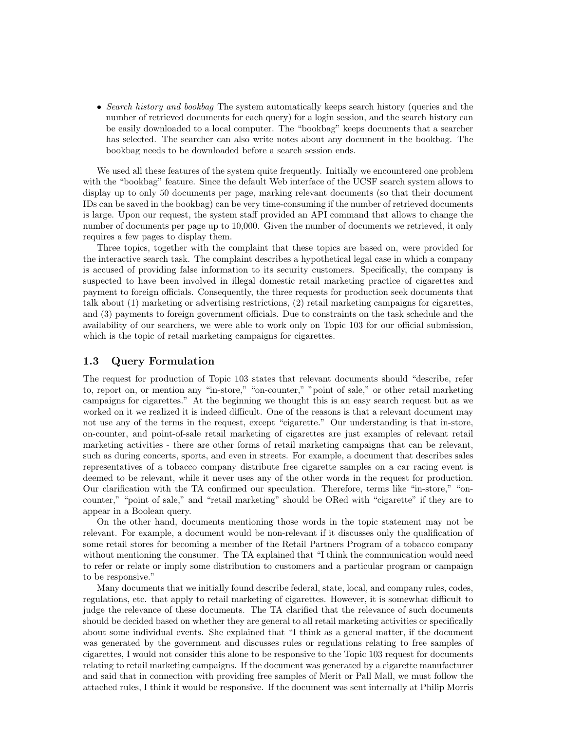• Search history and bookbag The system automatically keeps search history (queries and the number of retrieved documents for each query) for a login session, and the search history can be easily downloaded to a local computer. The "bookbag" keeps documents that a searcher has selected. The searcher can also write notes about any document in the bookbag. The bookbag needs to be downloaded before a search session ends.

We used all these features of the system quite frequently. Initially we encountered one problem with the "bookbag" feature. Since the default Web interface of the UCSF search system allows to display up to only 50 documents per page, marking relevant documents (so that their document IDs can be saved in the bookbag) can be very time-consuming if the number of retrieved documents is large. Upon our request, the system staff provided an API command that allows to change the number of documents per page up to 10,000. Given the number of documents we retrieved, it only requires a few pages to display them.

Three topics, together with the complaint that these topics are based on, were provided for the interactive search task. The complaint describes a hypothetical legal case in which a company is accused of providing false information to its security customers. Specifically, the company is suspected to have been involved in illegal domestic retail marketing practice of cigarettes and payment to foreign officials. Consequently, the three requests for production seek documents that talk about (1) marketing or advertising restrictions, (2) retail marketing campaigns for cigarettes, and (3) payments to foreign government officials. Due to constraints on the task schedule and the availability of our searchers, we were able to work only on Topic 103 for our official submission, which is the topic of retail marketing campaigns for cigarettes.

#### 1.3 Query Formulation

The request for production of Topic 103 states that relevant documents should "describe, refer to, report on, or mention any "in-store," "on-counter," "point of sale," or other retail marketing campaigns for cigarettes." At the beginning we thought this is an easy search request but as we worked on it we realized it is indeed difficult. One of the reasons is that a relevant document may not use any of the terms in the request, except "cigarette." Our understanding is that in-store, on-counter, and point-of-sale retail marketing of cigarettes are just examples of relevant retail marketing activities - there are other forms of retail marketing campaigns that can be relevant, such as during concerts, sports, and even in streets. For example, a document that describes sales representatives of a tobacco company distribute free cigarette samples on a car racing event is deemed to be relevant, while it never uses any of the other words in the request for production. Our clarification with the TA confirmed our speculation. Therefore, terms like "in-store," "oncounter," "point of sale," and "retail marketing" should be ORed with "cigarette" if they are to appear in a Boolean query.

On the other hand, documents mentioning those words in the topic statement may not be relevant. For example, a document would be non-relevant if it discusses only the qualification of some retail stores for becoming a member of the Retail Partners Program of a tobacco company without mentioning the consumer. The TA explained that "I think the communication would need to refer or relate or imply some distribution to customers and a particular program or campaign to be responsive."

Many documents that we initially found describe federal, state, local, and company rules, codes, regulations, etc. that apply to retail marketing of cigarettes. However, it is somewhat difficult to judge the relevance of these documents. The TA clarified that the relevance of such documents should be decided based on whether they are general to all retail marketing activities or specifically about some individual events. She explained that "I think as a general matter, if the document was generated by the government and discusses rules or regulations relating to free samples of cigarettes, I would not consider this alone to be responsive to the Topic 103 request for documents relating to retail marketing campaigns. If the document was generated by a cigarette manufacturer and said that in connection with providing free samples of Merit or Pall Mall, we must follow the attached rules, I think it would be responsive. If the document was sent internally at Philip Morris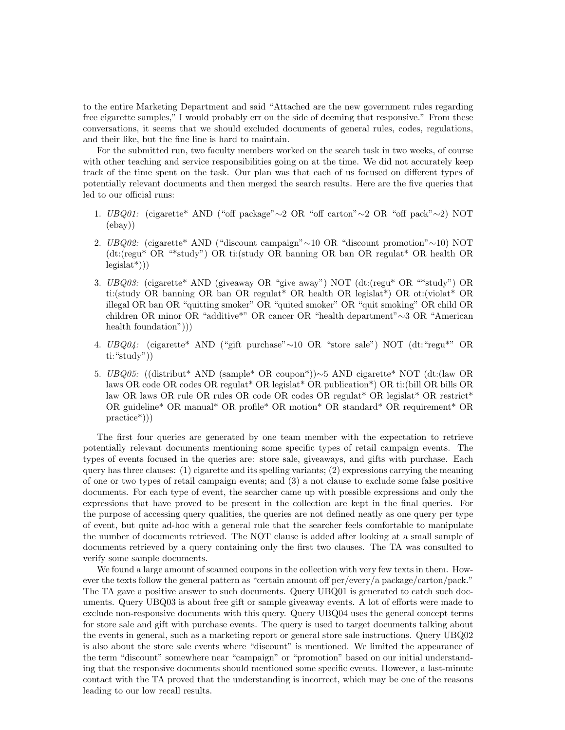to the entire Marketing Department and said "Attached are the new government rules regarding free cigarette samples," I would probably err on the side of deeming that responsive." From these conversations, it seems that we should excluded documents of general rules, codes, regulations, and their like, but the fine line is hard to maintain.

For the submitted run, two faculty members worked on the search task in two weeks, of course with other teaching and service responsibilities going on at the time. We did not accurately keep track of the time spent on the task. Our plan was that each of us focused on different types of potentially relevant documents and then merged the search results. Here are the five queries that led to our official runs:

- 1. UBQ01: (cigarette\* AND ("off package"∼2 OR "off carton"∼2 OR "off pack"∼2) NOT (ebay))
- 2. UBQ02: (cigarette\* AND ("discount campaign"∼10 OR "discount promotion"∼10) NOT (dt:(regu\* OR "\*study") OR ti:(study OR banning OR ban OR regulat\* OR health OR  $legislat<sup>*</sup>))$
- 3. UBQ03: (cigarette\* AND (giveaway OR "give away") NOT (dt:(regu\* OR "\*study") OR ti:(study OR banning OR ban OR regulat\* OR health OR legislat\*) OR ot:(violat\* OR illegal OR ban OR "quitting smoker" OR "quited smoker" OR "quit smoking" OR child OR children OR minor OR "additive\*" OR cancer OR "health department"∼3 OR "American health foundation")))
- 4. UBQ04: (cigarette\* AND ("gift purchase"∼10 OR "store sale") NOT (dt:"regu\*" OR ti:"study"))
- 5. UBQ05: ((distribut\* AND (sample\* OR coupon\*))∼5 AND cigarette\* NOT (dt:(law OR laws OR code OR codes OR regulat\* OR legislat\* OR publication\*) OR ti:(bill OR bills OR law OR laws OR rule OR rules OR code OR codes OR regulat\* OR legislat\* OR restrict\* OR guideline\* OR manual\* OR profile\* OR motion\* OR standard\* OR requirement\* OR practice\*)))

The first four queries are generated by one team member with the expectation to retrieve potentially relevant documents mentioning some specific types of retail campaign events. The types of events focused in the queries are: store sale, giveaways, and gifts with purchase. Each query has three clauses: (1) cigarette and its spelling variants; (2) expressions carrying the meaning of one or two types of retail campaign events; and (3) a not clause to exclude some false positive documents. For each type of event, the searcher came up with possible expressions and only the expressions that have proved to be present in the collection are kept in the final queries. For the purpose of accessing query qualities, the queries are not defined neatly as one query per type of event, but quite ad-hoc with a general rule that the searcher feels comfortable to manipulate the number of documents retrieved. The NOT clause is added after looking at a small sample of documents retrieved by a query containing only the first two clauses. The TA was consulted to verify some sample documents.

We found a large amount of scanned coupons in the collection with very few texts in them. However the texts follow the general pattern as "certain amount off per/every/a package/carton/pack." The TA gave a positive answer to such documents. Query UBQ01 is generated to catch such documents. Query UBQ03 is about free gift or sample giveaway events. A lot of efforts were made to exclude non-responsive documents with this query. Query UBQ04 uses the general concept terms for store sale and gift with purchase events. The query is used to target documents talking about the events in general, such as a marketing report or general store sale instructions. Query UBQ02 is also about the store sale events where "discount" is mentioned. We limited the appearance of the term "discount" somewhere near "campaign" or "promotion" based on our initial understanding that the responsive documents should mentioned some specific events. However, a last-minute contact with the TA proved that the understanding is incorrect, which may be one of the reasons leading to our low recall results.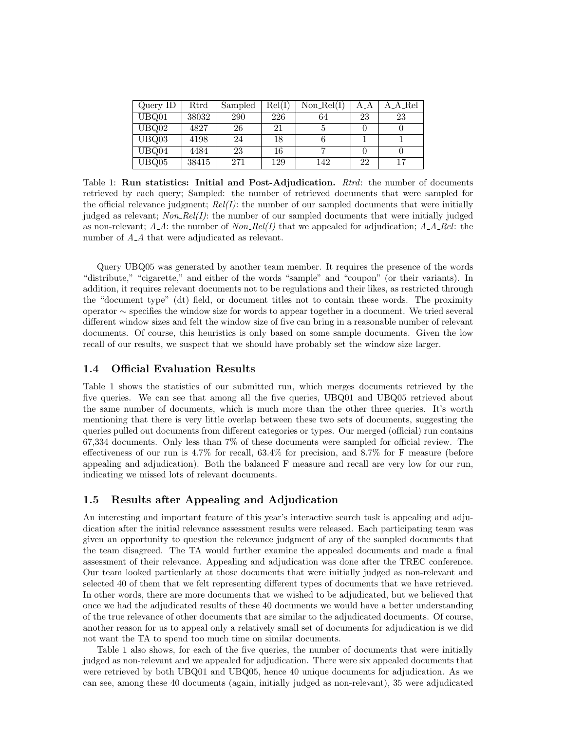| Query ID | Rtrd  | Sampled | Rel(I) | $Non\_Rel(I)$ | AA | A_A_Rel |
|----------|-------|---------|--------|---------------|----|---------|
| UBQ01    | 38032 | 290     | 226    | 64            | 23 | 23      |
| UBQ02    | 4827  | 26      | 21     |               |    |         |
| UBQ03    | 4198  | 24      | 18     |               |    |         |
| UBQ04    | 4484  | 23      | 16     |               |    |         |
| UBQ05    | 38415 | 271     | 129    | 142           | 22 |         |

Table 1: **Run statistics: Initial and Post-Adjudication.**  $Rtrd$ : the number of documents retrieved by each query; Sampled: the number of retrieved documents that were sampled for the official relevance judgment;  $Rel(I)$ : the number of our sampled documents that were initially judged as relevant;  $Non\_{Rel}(I)$ : the number of our sampled documents that were initially judged as non-relevant;  $A_A$ : the number of  $Non_Rel(I)$  that we appealed for adjudication;  $A_Ael$ : the number of  $A_A$  that were adjudicated as relevant.

Query UBQ05 was generated by another team member. It requires the presence of the words "distribute," "cigarette," and either of the words "sample" and "coupon" (or their variants). In addition, it requires relevant documents not to be regulations and their likes, as restricted through the "document type" (dt) field, or document titles not to contain these words. The proximity operator ∼ specifies the window size for words to appear together in a document. We tried several different window sizes and felt the window size of five can bring in a reasonable number of relevant documents. Of course, this heuristics is only based on some sample documents. Given the low recall of our results, we suspect that we should have probably set the window size larger.

#### 1.4 Official Evaluation Results

Table 1 shows the statistics of our submitted run, which merges documents retrieved by the five queries. We can see that among all the five queries, UBQ01 and UBQ05 retrieved about the same number of documents, which is much more than the other three queries. It's worth mentioning that there is very little overlap between these two sets of documents, suggesting the queries pulled out documents from different categories or types. Our merged (official) run contains 67,334 documents. Only less than 7% of these documents were sampled for official review. The effectiveness of our run is 4.7% for recall, 63.4% for precision, and 8.7% for F measure (before appealing and adjudication). Both the balanced F measure and recall are very low for our run, indicating we missed lots of relevant documents.

## 1.5 Results after Appealing and Adjudication

An interesting and important feature of this year's interactive search task is appealing and adjudication after the initial relevance assessment results were released. Each participating team was given an opportunity to question the relevance judgment of any of the sampled documents that the team disagreed. The TA would further examine the appealed documents and made a final assessment of their relevance. Appealing and adjudication was done after the TREC conference. Our team looked particularly at those documents that were initially judged as non-relevant and selected 40 of them that we felt representing different types of documents that we have retrieved. In other words, there are more documents that we wished to be adjudicated, but we believed that once we had the adjudicated results of these 40 documents we would have a better understanding of the true relevance of other documents that are similar to the adjudicated documents. Of course, another reason for us to appeal only a relatively small set of documents for adjudication is we did not want the TA to spend too much time on similar documents.

Table 1 also shows, for each of the five queries, the number of documents that were initially judged as non-relevant and we appealed for adjudication. There were six appealed documents that were retrieved by both UBQ01 and UBQ05, hence 40 unique documents for adjudication. As we can see, among these 40 documents (again, initially judged as non-relevant), 35 were adjudicated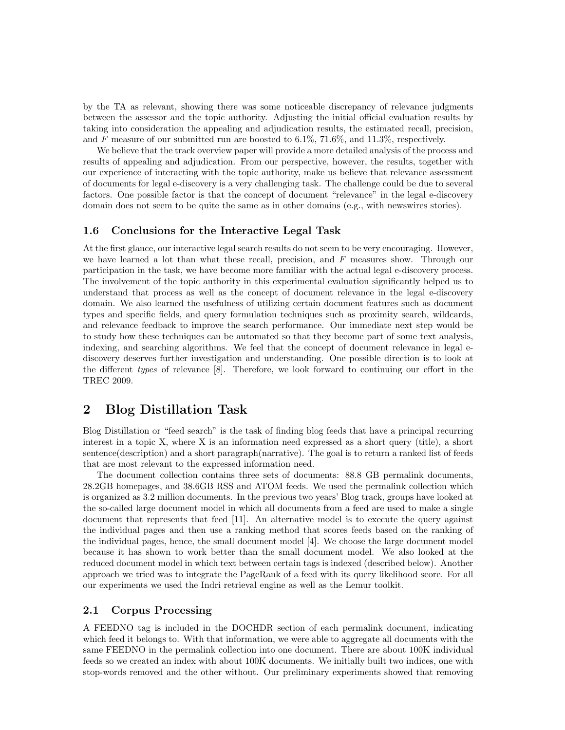by the TA as relevant, showing there was some noticeable discrepancy of relevance judgments between the assessor and the topic authority. Adjusting the initial official evaluation results by taking into consideration the appealing and adjudication results, the estimated recall, precision, and F measure of our submitted run are boosted to  $6.1\%, 71.6\%,$  and  $11.3\%,$  respectively.

We believe that the track overview paper will provide a more detailed analysis of the process and results of appealing and adjudication. From our perspective, however, the results, together with our experience of interacting with the topic authority, make us believe that relevance assessment of documents for legal e-discovery is a very challenging task. The challenge could be due to several factors. One possible factor is that the concept of document "relevance" in the legal e-discovery domain does not seem to be quite the same as in other domains (e.g., with newswires stories).

#### 1.6 Conclusions for the Interactive Legal Task

At the first glance, our interactive legal search results do not seem to be very encouraging. However, we have learned a lot than what these recall, precision, and  $F$  measures show. Through our participation in the task, we have become more familiar with the actual legal e-discovery process. The involvement of the topic authority in this experimental evaluation significantly helped us to understand that process as well as the concept of document relevance in the legal e-discovery domain. We also learned the usefulness of utilizing certain document features such as document types and specific fields, and query formulation techniques such as proximity search, wildcards, and relevance feedback to improve the search performance. Our immediate next step would be to study how these techniques can be automated so that they become part of some text analysis, indexing, and searching algorithms. We feel that the concept of document relevance in legal ediscovery deserves further investigation and understanding. One possible direction is to look at the different types of relevance [8]. Therefore, we look forward to continuing our effort in the TREC 2009.

## 2 Blog Distillation Task

Blog Distillation or "feed search" is the task of finding blog feeds that have a principal recurring interest in a topic X, where X is an information need expressed as a short query (title), a short sentence(description) and a short paragraph(narrative). The goal is to return a ranked list of feeds that are most relevant to the expressed information need.

The document collection contains three sets of documents: 88.8 GB permalink documents, 28.2GB homepages, and 38.6GB RSS and ATOM feeds. We used the permalink collection which is organized as 3.2 million documents. In the previous two years' Blog track, groups have looked at the so-called large document model in which all documents from a feed are used to make a single document that represents that feed [11]. An alternative model is to execute the query against the individual pages and then use a ranking method that scores feeds based on the ranking of the individual pages, hence, the small document model [4]. We choose the large document model because it has shown to work better than the small document model. We also looked at the reduced document model in which text between certain tags is indexed (described below). Another approach we tried was to integrate the PageRank of a feed with its query likelihood score. For all our experiments we used the Indri retrieval engine as well as the Lemur toolkit.

#### 2.1 Corpus Processing

A FEEDNO tag is included in the DOCHDR section of each permalink document, indicating which feed it belongs to. With that information, we were able to aggregate all documents with the same FEEDNO in the permalink collection into one document. There are about 100K individual feeds so we created an index with about 100K documents. We initially built two indices, one with stop-words removed and the other without. Our preliminary experiments showed that removing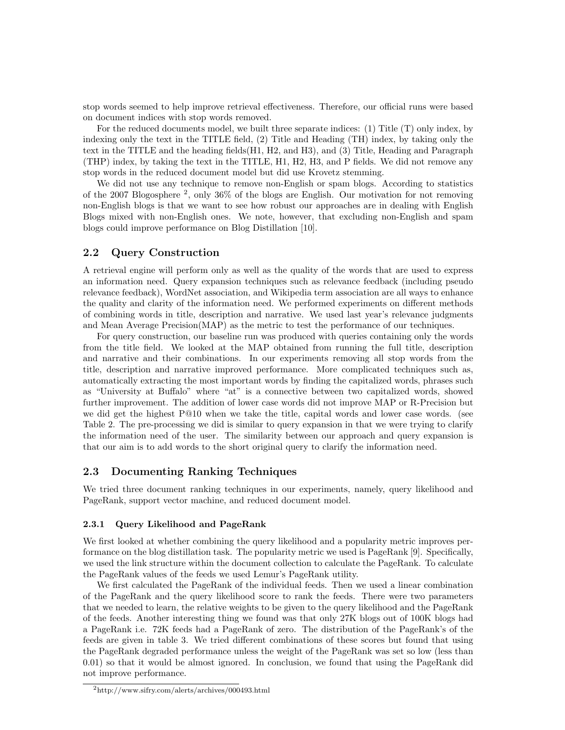stop words seemed to help improve retrieval effectiveness. Therefore, our official runs were based on document indices with stop words removed.

For the reduced documents model, we built three separate indices: (1) Title (T) only index, by indexing only the text in the TITLE field, (2) Title and Heading (TH) index, by taking only the text in the TITLE and the heading fields(H1, H2, and H3), and (3) Title, Heading and Paragraph (THP) index, by taking the text in the TITLE, H1, H2, H3, and P fields. We did not remove any stop words in the reduced document model but did use Krovetz stemming.

We did not use any technique to remove non-English or spam blogs. According to statistics of the 2007 Blogosphere <sup>2</sup> , only 36% of the blogs are English. Our motivation for not removing non-English blogs is that we want to see how robust our approaches are in dealing with English Blogs mixed with non-English ones. We note, however, that excluding non-English and spam blogs could improve performance on Blog Distillation [10].

## 2.2 Query Construction

A retrieval engine will perform only as well as the quality of the words that are used to express an information need. Query expansion techniques such as relevance feedback (including pseudo relevance feedback), WordNet association, and Wikipedia term association are all ways to enhance the quality and clarity of the information need. We performed experiments on different methods of combining words in title, description and narrative. We used last year's relevance judgments and Mean Average Precision(MAP) as the metric to test the performance of our techniques.

For query construction, our baseline run was produced with queries containing only the words from the title field. We looked at the MAP obtained from running the full title, description and narrative and their combinations. In our experiments removing all stop words from the title, description and narrative improved performance. More complicated techniques such as, automatically extracting the most important words by finding the capitalized words, phrases such as "University at Buffalo" where "at" is a connective between two capitalized words, showed further improvement. The addition of lower case words did not improve MAP or R-Precision but we did get the highest P@10 when we take the title, capital words and lower case words. (see Table 2. The pre-processing we did is similar to query expansion in that we were trying to clarify the information need of the user. The similarity between our approach and query expansion is that our aim is to add words to the short original query to clarify the information need.

## 2.3 Documenting Ranking Techniques

We tried three document ranking techniques in our experiments, namely, query likelihood and PageRank, support vector machine, and reduced document model.

#### 2.3.1 Query Likelihood and PageRank

We first looked at whether combining the query likelihood and a popularity metric improves performance on the blog distillation task. The popularity metric we used is PageRank [9]. Specifically, we used the link structure within the document collection to calculate the PageRank. To calculate the PageRank values of the feeds we used Lemur's PageRank utility.

We first calculated the PageRank of the individual feeds. Then we used a linear combination of the PageRank and the query likelihood score to rank the feeds. There were two parameters that we needed to learn, the relative weights to be given to the query likelihood and the PageRank of the feeds. Another interesting thing we found was that only 27K blogs out of 100K blogs had a PageRank i.e. 72K feeds had a PageRank of zero. The distribution of the PageRank's of the feeds are given in table 3. We tried different combinations of these scores but found that using the PageRank degraded performance unless the weight of the PageRank was set so low (less than 0.01) so that it would be almost ignored. In conclusion, we found that using the PageRank did not improve performance.

<sup>2</sup>http://www.sifry.com/alerts/archives/000493.html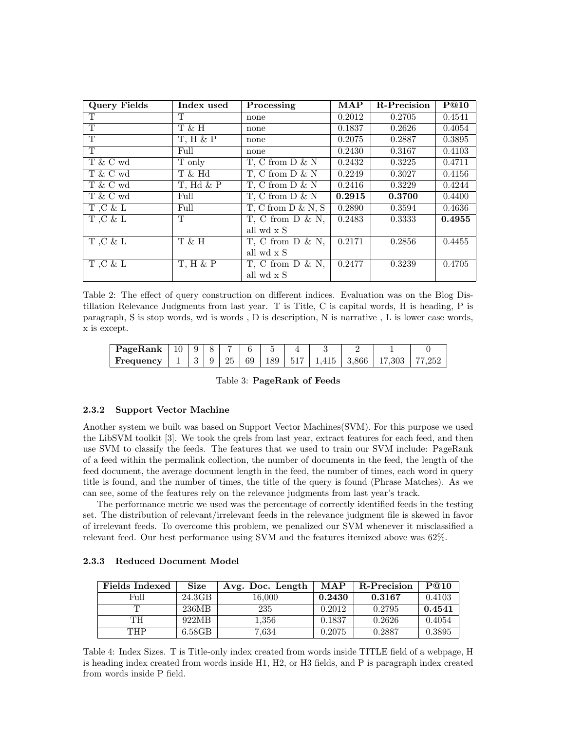| <b>Query Fields</b> | Index used      | Processing              | <b>MAP</b> | R-Precision | P@10   |
|---------------------|-----------------|-------------------------|------------|-------------|--------|
| T                   | T               | none                    | 0.2012     | 0.2705      | 0.4541 |
| T                   | T & H           | none                    | 0.1837     | 0.2626      | 0.4054 |
| T                   | $T$ , $H$ & $P$ | none                    | 0.2075     | 0.2887      | 0.3895 |
| T                   | Full            | none                    | 0.2430     | 0.3167      | 0.4103 |
| T & C wd            | T only          | T, C from $D \& N$      | 0.2432     | 0.3225      | 0.4711 |
| T & C wd            | T & Hd          | T, C from $D & N$       | 0.2249     | 0.3027      | 0.4156 |
| T & C wd            | $T$ , Hd $\&$ P | T, C from $D \& N$      | 0.2416     | 0.3229      | 0.4244 |
| T & C wd            | Full            | T, C from $D \& N$      | 0.2915     | 0.3700      | 0.4400 |
| $T,C \& L$          | Full            | $T, C$ from $D \& N, S$ | 0.2890     | 0.3594      | 0.4636 |
| T.C & L             | T               | $T$ , C from D & N,     | 0.2483     | 0.3333      | 0.4955 |
|                     |                 | all wd x S              |            |             |        |
| T.C & L             | T & H           | $T$ , C from D & N,     | 0.2171     | 0.2856      | 0.4455 |
|                     |                 | all wd x S              |            |             |        |
| $T,C \& L$          | $T$ , $H$ & $P$ | $T$ , C from D & N,     | 0.2477     | 0.3239      | 0.4705 |
|                     |                 | all wd x S              |            |             |        |

Table 2: The effect of query construction on different indices. Evaluation was on the Blog Distillation Relevance Judgments from last year. T is Title, C is capital words, H is heading, P is paragraph, S is stop words, wd is words , D is description, N is narrative , L is lower case words, x is except.

| PageRank  | 10 | Q | $\sim$ | $\overline{\phantom{a}}$ |    |     |     |       |       |      |  |
|-----------|----|---|--------|--------------------------|----|-----|-----|-------|-------|------|--|
| Frequency | -  | ◡ | 9      | 25                       | 69 | 189 | 517 | - 415 | 3,866 | ,303 |  |

Table 3: PageRank of Feeds

#### 2.3.2 Support Vector Machine

Another system we built was based on Support Vector Machines(SVM). For this purpose we used the LibSVM toolkit [3]. We took the qrels from last year, extract features for each feed, and then use SVM to classify the feeds. The features that we used to train our SVM include: PageRank of a feed within the permalink collection, the number of documents in the feed, the length of the feed document, the average document length in the feed, the number of times, each word in query title is found, and the number of times, the title of the query is found (Phrase Matches). As we can see, some of the features rely on the relevance judgments from last year's track.

The performance metric we used was the percentage of correctly identified feeds in the testing set. The distribution of relevant/irrelevant feeds in the relevance judgment file is skewed in favor of irrelevant feeds. To overcome this problem, we penalized our SVM whenever it misclassified a relevant feed. Our best performance using SVM and the features itemized above was 62%.

| <b>Fields Indexed</b> | <b>Size</b> | Avg. Doc. Length | MAP    | <b>R-Precision</b> | P@10   |
|-----------------------|-------------|------------------|--------|--------------------|--------|
| Full                  | 24.3GB      | 16.000           | 0.2430 | 0.3167             | 0.4103 |
| m                     | 236MB       | 235              | 0.2012 | 0.2795             | 0.4541 |
| TН                    | 922MB       | 1.356            | 0.1837 | 0.2626             | 0.4054 |
| THP                   | 6.58GB      | 7.634            | 0.2075 | 0.2887             | 0.3895 |

#### 2.3.3 Reduced Document Model

Table 4: Index Sizes. T is Title-only index created from words inside TITLE field of a webpage, H is heading index created from words inside H1, H2, or H3 fields, and P is paragraph index created from words inside P field.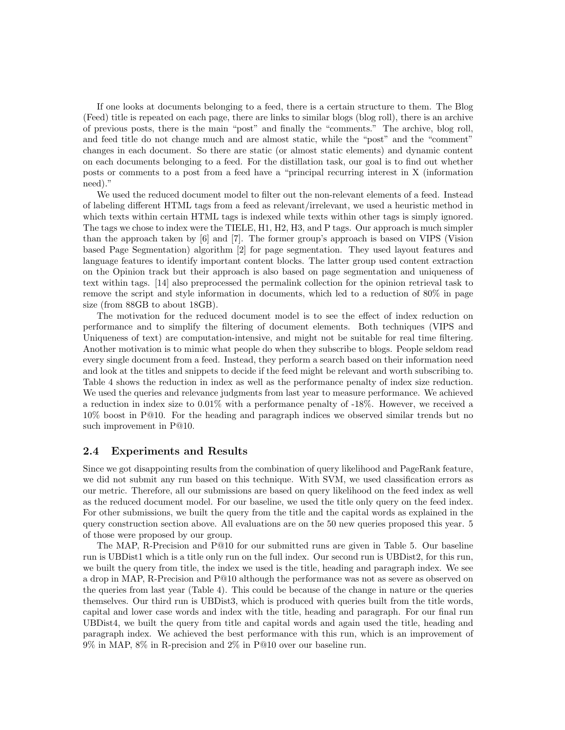If one looks at documents belonging to a feed, there is a certain structure to them. The Blog (Feed) title is repeated on each page, there are links to similar blogs (blog roll), there is an archive of previous posts, there is the main "post" and finally the "comments." The archive, blog roll, and feed title do not change much and are almost static, while the "post" and the "comment" changes in each document. So there are static (or almost static elements) and dynamic content on each documents belonging to a feed. For the distillation task, our goal is to find out whether posts or comments to a post from a feed have a "principal recurring interest in X (information need)."

We used the reduced document model to filter out the non-relevant elements of a feed. Instead of labeling different HTML tags from a feed as relevant/irrelevant, we used a heuristic method in which texts within certain HTML tags is indexed while texts within other tags is simply ignored. The tags we chose to index were the TIELE, H1, H2, H3, and P tags. Our approach is much simpler than the approach taken by [6] and [7]. The former group's approach is based on VIPS (Vision based Page Segmentation) algorithm [2] for page segmentation. They used layout features and language features to identify important content blocks. The latter group used content extraction on the Opinion track but their approach is also based on page segmentation and uniqueness of text within tags. [14] also preprocessed the permalink collection for the opinion retrieval task to remove the script and style information in documents, which led to a reduction of 80% in page size (from 88GB to about 18GB).

The motivation for the reduced document model is to see the effect of index reduction on performance and to simplify the filtering of document elements. Both techniques (VIPS and Uniqueness of text) are computation-intensive, and might not be suitable for real time filtering. Another motivation is to mimic what people do when they subscribe to blogs. People seldom read every single document from a feed. Instead, they perform a search based on their information need and look at the titles and snippets to decide if the feed might be relevant and worth subscribing to. Table 4 shows the reduction in index as well as the performance penalty of index size reduction. We used the queries and relevance judgments from last year to measure performance. We achieved a reduction in index size to 0.01% with a performance penalty of -18%. However, we received a 10% boost in P@10. For the heading and paragraph indices we observed similar trends but no such improvement in P@10.

#### 2.4 Experiments and Results

Since we got disappointing results from the combination of query likelihood and PageRank feature, we did not submit any run based on this technique. With SVM, we used classification errors as our metric. Therefore, all our submissions are based on query likelihood on the feed index as well as the reduced document model. For our baseline, we used the title only query on the feed index. For other submissions, we built the query from the title and the capital words as explained in the query construction section above. All evaluations are on the 50 new queries proposed this year. 5 of those were proposed by our group.

The MAP, R-Precision and P@10 for our submitted runs are given in Table 5. Our baseline run is UBDist1 which is a title only run on the full index. Our second run is UBDist2, for this run, we built the query from title, the index we used is the title, heading and paragraph index. We see a drop in MAP, R-Precision and P@10 although the performance was not as severe as observed on the queries from last year (Table 4). This could be because of the change in nature or the queries themselves. Our third run is UBDist3, which is produced with queries built from the title words, capital and lower case words and index with the title, heading and paragraph. For our final run UBDist4, we built the query from title and capital words and again used the title, heading and paragraph index. We achieved the best performance with this run, which is an improvement of 9% in MAP, 8% in R-precision and 2% in P@10 over our baseline run.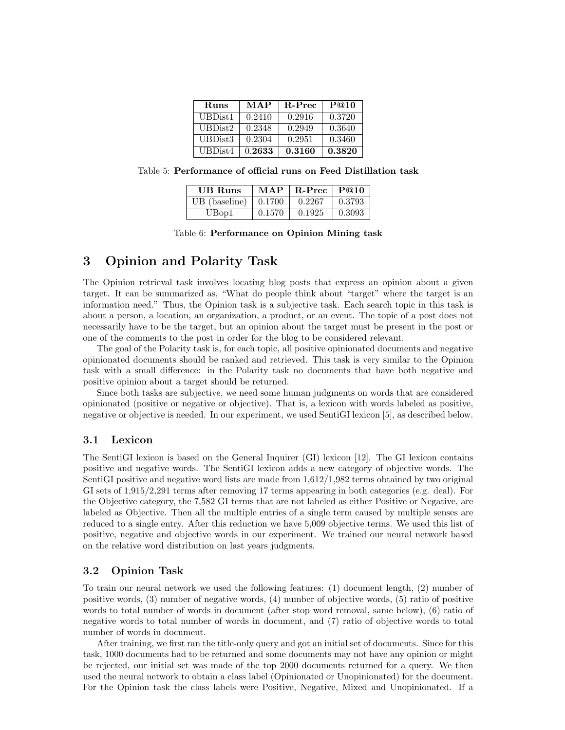| <b>Runs</b>         | MAP    | R-Prec | P@10   |
|---------------------|--------|--------|--------|
| UBDist <sub>1</sub> | 0.2410 | 0.2916 | 0.3720 |
| UBDist2             | 0.2348 | 0.2949 | 0.3640 |
| UBDist3             | 0.2304 | 0.2951 | 0.3460 |
| UBDist4             | 0.2633 | 0.3160 | 0.3820 |

Table 5: Performance of official runs on Feed Distillation task

| <b>UB</b> Runs | MAP          | $\mid$ R-Prec | $\mathbf{P}@10$ |
|----------------|--------------|---------------|-----------------|
| UB (baseline)  | $\pm 0.1700$ | 0.2267        | $\pm 0.3793$    |
| UBop1          | 0.1570       | 0.1925        | $\pm 0.3093$    |

| Table 6: Performance on Opinion Mining task |  |  |  |
|---------------------------------------------|--|--|--|
|---------------------------------------------|--|--|--|

# 3 Opinion and Polarity Task

The Opinion retrieval task involves locating blog posts that express an opinion about a given target. It can be summarized as, "What do people think about "target" where the target is an information need." Thus, the Opinion task is a subjective task. Each search topic in this task is about a person, a location, an organization, a product, or an event. The topic of a post does not necessarily have to be the target, but an opinion about the target must be present in the post or one of the comments to the post in order for the blog to be considered relevant.

The goal of the Polarity task is, for each topic, all positive opinionated documents and negative opinionated documents should be ranked and retrieved. This task is very similar to the Opinion task with a small difference: in the Polarity task no documents that have both negative and positive opinion about a target should be returned.

Since both tasks are subjective, we need some human judgments on words that are considered opinionated (positive or negative or objective). That is, a lexicon with words labeled as positive, negative or objective is needed. In our experiment, we used SentiGI lexicon [5], as described below.

### 3.1 Lexicon

The SentiGI lexicon is based on the General Inquirer (GI) lexicon [12]. The GI lexicon contains positive and negative words. The SentiGI lexicon adds a new category of objective words. The SentiGI positive and negative word lists are made from 1,612/1,982 terms obtained by two original GI sets of 1,915/2,291 terms after removing 17 terms appearing in both categories (e.g. deal). For the Objective category, the 7,582 GI terms that are not labeled as either Positive or Negative, are labeled as Objective. Then all the multiple entries of a single term caused by multiple senses are reduced to a single entry. After this reduction we have 5,009 objective terms. We used this list of positive, negative and objective words in our experiment. We trained our neural network based on the relative word distribution on last years judgments.

## 3.2 Opinion Task

To train our neural network we used the following features: (1) document length, (2) number of positive words, (3) number of negative words, (4) number of objective words, (5) ratio of positive words to total number of words in document (after stop word removal, same below), (6) ratio of negative words to total number of words in document, and (7) ratio of objective words to total number of words in document.

After training, we first ran the title-only query and got an initial set of documents. Since for this task, 1000 documents had to be returned and some documents may not have any opinion or might be rejected, our initial set was made of the top 2000 documents returned for a query. We then used the neural network to obtain a class label (Opinionated or Unopinionated) for the document. For the Opinion task the class labels were Positive, Negative, Mixed and Unopinionated. If a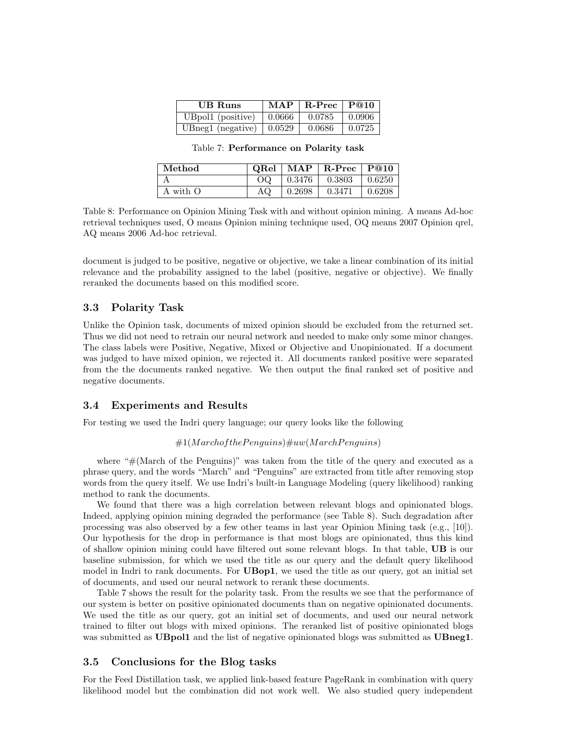| <b>UB</b> Runs                   | MAP        | $R-Prec$ PQ10 |         |
|----------------------------------|------------|---------------|---------|
| UBpol1 (positive)                | $0.0666\,$ | 0.0785        | -0.0906 |
| UBneg1 (negative) $\vert$ 0.0529 |            | 0.0686        | 0.0725  |

|  | Table 7: Performance on Polarity task |  |  |  |
|--|---------------------------------------|--|--|--|
|--|---------------------------------------|--|--|--|

| Method   | $\rm{ORel}$ |        | $\mid$ MAP $\mid$ R-Prec | $\perp$ P@10 |
|----------|-------------|--------|--------------------------|--------------|
|          | OΟ          |        | $0.3476$   0.3803        | 0.6250       |
| A with O | ΑQ          | 0.2698 | 0.3471                   | 0.6208       |

Table 8: Performance on Opinion Mining Task with and without opinion mining. A means Ad-hoc retrieval techniques used, O means Opinion mining technique used, OQ means 2007 Opinion qrel, AQ means 2006 Ad-hoc retrieval.

document is judged to be positive, negative or objective, we take a linear combination of its initial relevance and the probability assigned to the label (positive, negative or objective). We finally reranked the documents based on this modified score.

#### 3.3 Polarity Task

Unlike the Opinion task, documents of mixed opinion should be excluded from the returned set. Thus we did not need to retrain our neural network and needed to make only some minor changes. The class labels were Positive, Negative, Mixed or Objective and Unopinionated. If a document was judged to have mixed opinion, we rejected it. All documents ranked positive were separated from the the documents ranked negative. We then output the final ranked set of positive and negative documents.

#### 3.4 Experiments and Results

For testing we used the Indri query language; our query looks like the following

#### $#1(Marchof the Penquins) \#uw(MarchPenquins)$

where  $H(March of the Penguins)$ " was taken from the title of the query and executed as a phrase query, and the words "March" and "Penguins" are extracted from title after removing stop words from the query itself. We use Indri's built-in Language Modeling (query likelihood) ranking method to rank the documents.

We found that there was a high correlation between relevant blogs and opinionated blogs. Indeed, applying opinion mining degraded the performance (see Table 8). Such degradation after processing was also observed by a few other teams in last year Opinion Mining task (e.g., [10]). Our hypothesis for the drop in performance is that most blogs are opinionated, thus this kind of shallow opinion mining could have filtered out some relevant blogs. In that table, UB is our baseline submission, for which we used the title as our query and the default query likelihood model in Indri to rank documents. For **UBop1**, we used the title as our query, got an initial set of documents, and used our neural network to rerank these documents.

Table 7 shows the result for the polarity task. From the results we see that the performance of our system is better on positive opinionated documents than on negative opinionated documents. We used the title as our query, got an initial set of documents, and used our neural network trained to filter out blogs with mixed opinions. The reranked list of positive opinionated blogs was submitted as **UBpol1** and the list of negative opinionated blogs was submitted as **UBneg1**.

#### 3.5 Conclusions for the Blog tasks

For the Feed Distillation task, we applied link-based feature PageRank in combination with query likelihood model but the combination did not work well. We also studied query independent